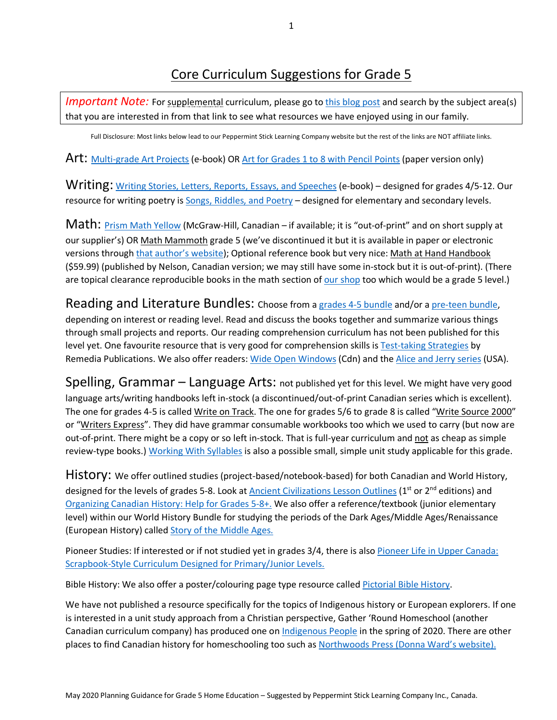## Core Curriculum Suggestions for Grade 5

*Important Note:* For supplemental curriculum, please go to this blog post and search by the subject area(s) that you are interested in from that link to see what resources we have enjoyed using in our family.

Full Disclosure: Most links below lead to our Peppermint Stick Learning Company website but the rest of the links are NOT affiliate links.

Art: Multi-grade Art Projects (e-book) OR Art for Grades 1 to 8 with Pencil Points (paper version only)

Writing: Writing Stories, Letters, Reports, Essays, and Speeches (e-book) – designed for grades 4/5-12. Our resource for writing poetry is Songs, Riddles, and Poetry – designed for elementary and secondary levels.

Math: Prism Math Yellow (McGraw-Hill, Canadian – if available; it is "out-of-print" and on short supply at our supplier's) OR Math Mammoth grade 5 (we've discontinued it but it is available in paper or electronic versions through that author's website); Optional reference book but very nice: Math at Hand Handbook (\$59.99) (published by Nelson, Canadian version; we may still have some in-stock but it is out-of-print). (There are topical clearance reproducible books in the math section of our shop too which would be a grade 5 level.)

Reading and Literature Bundles: Choose from a grades 4-5 bundle and/or a pre-teen bundle, depending on interest or reading level. Read and discuss the books together and summarize various things through small projects and reports. Our reading comprehension curriculum has not been published for this level yet. One favourite resource that is very good for comprehension skills is Test-taking Strategies by Remedia Publications. We also offer readers: Wide Open Windows (Cdn) and the Alice and Jerry series (USA).

Spelling, Grammar – Language Arts: not published yet for this level. We might have very good language arts/writing handbooks left in-stock (a discontinued/out-of-print Canadian series which is excellent). The one for grades 4-5 is called Write on Track. The one for grades 5/6 to grade 8 is called "Write Source 2000" or "Writers Express". They did have grammar consumable workbooks too which we used to carry (but now are out-of-print. There might be a copy or so left in-stock. That is full-year curriculum and not as cheap as simple review-type books.) Working With Syllables is also a possible small, simple unit study applicable for this grade.

History: We offer outlined studies (project-based/notebook-based) for both Canadian and World History, designed for the levels of grades 5-8. Look at Ancient Civilizations Lesson Outlines (1<sup>st</sup> or 2<sup>nd</sup> editions) and Organizing Canadian History: Help for Grades 5-8+. We also offer a reference/textbook (junior elementary level) within our World History Bundle for studying the periods of the Dark Ages/Middle Ages/Renaissance (European History) called Story of the Middle Ages.

Pioneer Studies: If interested or if not studied yet in grades 3/4, there is also Pioneer Life in Upper Canada: Scrapbook-Style Curriculum Designed for Primary/Junior Levels.

Bible History: We also offer a poster/colouring page type resource called Pictorial Bible History.

We have not published a resource specifically for the topics of Indigenous history or European explorers. If one is interested in a unit study approach from a Christian perspective, Gather 'Round Homeschool (another Canadian curriculum company) has produced one on Indigenous People in the spring of 2020. There are other places to find Canadian history for homeschooling too such as Northwoods Press (Donna Ward's website).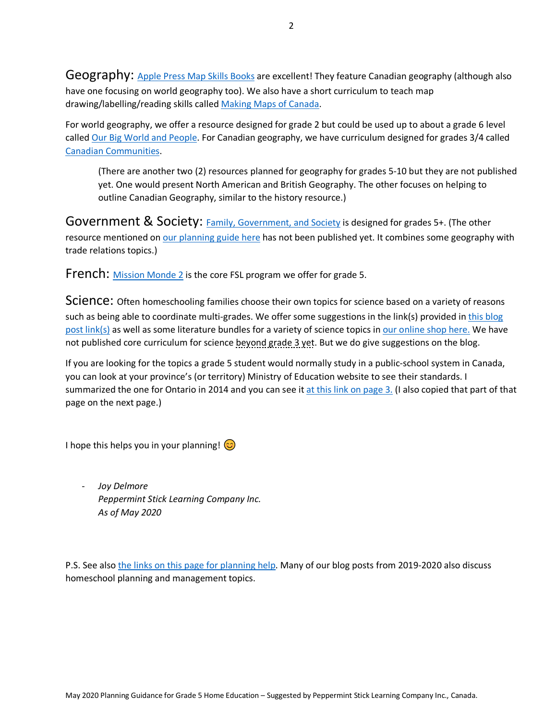Geography: Apple Press Map Skills Books are excellent! They feature Canadian geography (although also have one focusing on world geography too). We also have a short curriculum to teach map drawing/labelling/reading skills called Making Maps of Canada.

For world geography, we offer a resource designed for grade 2 but could be used up to about a grade 6 level called Our Big World and People. For Canadian geography, we have curriculum designed for grades 3/4 called Canadian Communities.

(There are another two (2) resources planned for geography for grades 5-10 but they are not published yet. One would present North American and British Geography. The other focuses on helping to outline Canadian Geography, similar to the history resource.)

Government & Society: Family, Government, and Society is designed for grades 5+. (The other resource mentioned on our planning guide here has not been published yet. It combines some geography with trade relations topics.)

French: Mission Monde 2 is the core FSL program we offer for grade 5.

Science: Often homeschooling families choose their own topics for science based on a variety of reasons such as being able to coordinate multi-grades. We offer some suggestions in the link(s) provided in this blog post link(s) as well as some literature bundles for a variety of science topics in our online shop here. We have not published core curriculum for science beyond grade 3 yet. But we do give suggestions on the blog.

If you are looking for the topics a grade 5 student would normally study in a public-school system in Canada, you can look at your province's (or territory) Ministry of Education website to see their standards. I summarized the one for Ontario in 2014 and you can see it at this link on page 3. (I also copied that part of that page on the next page.)

I hope this helps you in your planning!  $\circled{c}$ 

- *Joy Delmore Peppermint Stick Learning Company Inc. As of May 2020* 

P.S. See also the links on this page for planning help. Many of our blog posts from 2019-2020 also discuss homeschool planning and management topics.